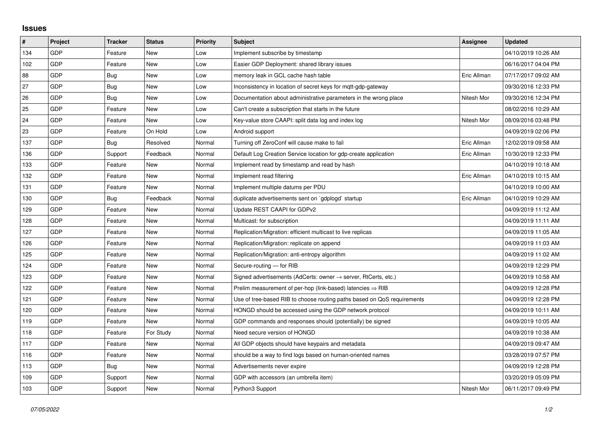## **Issues**

| $\sharp$ | Project    | <b>Tracker</b> | <b>Status</b> | <b>Priority</b> | <b>Subject</b>                                                             | Assignee    | <b>Updated</b>      |
|----------|------------|----------------|---------------|-----------------|----------------------------------------------------------------------------|-------------|---------------------|
| 134      | <b>GDP</b> | Feature        | <b>New</b>    | Low             | Implement subscribe by timestamp                                           |             | 04/10/2019 10:26 AM |
| 102      | <b>GDP</b> | Feature        | <b>New</b>    | Low             | Easier GDP Deployment: shared library issues                               |             | 06/16/2017 04:04 PM |
| 88       | <b>GDP</b> | Bug            | <b>New</b>    | Low             | memory leak in GCL cache hash table                                        | Eric Allman | 07/17/2017 09:02 AM |
| 27       | GDP        | Bug            | <b>New</b>    | Low             | Inconsistency in location of secret keys for mgtt-gdp-gateway              |             | 09/30/2016 12:33 PM |
| 26       | <b>GDP</b> | Bug            | <b>New</b>    | Low             | Documentation about administrative parameters in the wrong place           | Nitesh Mor  | 09/30/2016 12:34 PM |
| 25       | <b>GDP</b> | Feature        | <b>New</b>    | Low             | Can't create a subscription that starts in the future                      |             | 08/02/2016 10:29 AM |
| 24       | <b>GDP</b> | Feature        | <b>New</b>    | Low             | Key-value store CAAPI: split data log and index log                        | Nitesh Mor  | 08/09/2016 03:48 PM |
| 23       | <b>GDP</b> | Feature        | On Hold       | Low             | Android support                                                            |             | 04/09/2019 02:06 PM |
| 137      | <b>GDP</b> | Bug            | Resolved      | Normal          | Turning off ZeroConf will cause make to fail                               | Eric Allman | 12/02/2019 09:58 AM |
| 136      | GDP        | Support        | Feedback      | Normal          | Default Log Creation Service location for gdp-create application           | Eric Allman | 10/30/2019 12:33 PM |
| 133      | <b>GDP</b> | Feature        | <b>New</b>    | Normal          | Implement read by timestamp and read by hash                               |             | 04/10/2019 10:18 AM |
| 132      | <b>GDP</b> | Feature        | <b>New</b>    | Normal          | Implement read filtering                                                   | Eric Allman | 04/10/2019 10:15 AM |
| 131      | GDP        | Feature        | <b>New</b>    | Normal          | Implement multiple datums per PDU                                          |             | 04/10/2019 10:00 AM |
| 130      | <b>GDP</b> | Bug            | Feedback      | Normal          | duplicate advertisements sent on `gdplogd` startup                         | Eric Allman | 04/10/2019 10:29 AM |
| 129      | <b>GDP</b> | Feature        | <b>New</b>    | Normal          | Update REST CAAPI for GDPv2                                                |             | 04/09/2019 11:12 AM |
| 128      | <b>GDP</b> | Feature        | New           | Normal          | Multicast: for subscription                                                |             | 04/09/2019 11:11 AM |
| 127      | <b>GDP</b> | Feature        | <b>New</b>    | Normal          | Replication/Migration: efficient multicast to live replicas                |             | 04/09/2019 11:05 AM |
| 126      | <b>GDP</b> | Feature        | <b>New</b>    | Normal          | Replication/Migration: replicate on append                                 |             | 04/09/2019 11:03 AM |
| 125      | <b>GDP</b> | Feature        | <b>New</b>    | Normal          | Replication/Migration: anti-entropy algorithm                              |             | 04/09/2019 11:02 AM |
| 124      | <b>GDP</b> | Feature        | <b>New</b>    | Normal          | Secure-routing - for RIB                                                   |             | 04/09/2019 12:29 PM |
| 123      | <b>GDP</b> | Feature        | <b>New</b>    | Normal          | Signed advertisements (AdCerts: owner $\rightarrow$ server, RtCerts, etc.) |             | 04/09/2019 10:58 AM |
| 122      | <b>GDP</b> | Feature        | New           | Normal          | Prelim measurement of per-hop (link-based) latencies $\Rightarrow$ RIB     |             | 04/09/2019 12:28 PM |
| 121      | <b>GDP</b> | Feature        | <b>New</b>    | Normal          | Use of tree-based RIB to choose routing paths based on QoS requirements    |             | 04/09/2019 12:28 PM |
| 120      | <b>GDP</b> | Feature        | <b>New</b>    | Normal          | HONGD should be accessed using the GDP network protocol                    |             | 04/09/2019 10:11 AM |
| 119      | <b>GDP</b> | Feature        | <b>New</b>    | Normal          | GDP commands and responses should (potentially) be signed                  |             | 04/09/2019 10:05 AM |
| 118      | <b>GDP</b> | Feature        | For Study     | Normal          | Need secure version of HONGD                                               |             | 04/09/2019 10:38 AM |
| 117      | <b>GDP</b> | Feature        | <b>New</b>    | Normal          | All GDP objects should have keypairs and metadata                          |             | 04/09/2019 09:47 AM |
| 116      | <b>GDP</b> | Feature        | <b>New</b>    | Normal          | should be a way to find logs based on human-oriented names                 |             | 03/28/2019 07:57 PM |
| 113      | <b>GDP</b> | Bug            | <b>New</b>    | Normal          | Advertisements never expire                                                |             | 04/09/2019 12:28 PM |
| 109      | <b>GDP</b> | Support        | <b>New</b>    | Normal          | GDP with accessors (an umbrella item)                                      |             | 03/20/2019 05:09 PM |
| 103      | <b>GDP</b> | Support        | <b>New</b>    | Normal          | Python3 Support                                                            | Nitesh Mor  | 06/11/2017 09:49 PM |